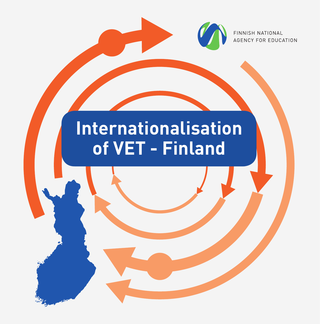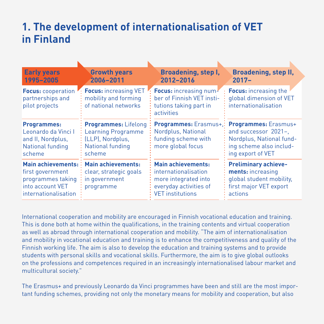## **1. The development of internationalisation of VET in Finland**

| <b>Early years</b><br>1995-2005                                                                                | <b>Growth years</b><br>2006-2011                                                                    | Broadening, step I,<br>2012-2016                                                                                               | <b>Broadening, step II,</b><br>$2017 -$                                                                                      |
|----------------------------------------------------------------------------------------------------------------|-----------------------------------------------------------------------------------------------------|--------------------------------------------------------------------------------------------------------------------------------|------------------------------------------------------------------------------------------------------------------------------|
| <b>Focus: cooperation</b><br>partnerships and<br>pilot projects                                                | <b>Focus: increasing VET</b><br>mobility and forming<br>of national networks                        | Focus: increasing num-<br>ber of Finnish VET insti-<br>tutions taking part in<br><b>activities</b>                             | <b>Focus:</b> increasing the<br>global dimension of VET<br>internationalisation                                              |
| <b>Programmes:</b><br>Leonardo da Vinci I<br>and II, Nordplus,<br>National funding<br>scheme                   | <b>Programmes:</b> Lifelong<br>Learning Programme<br>(LLP), Nordplus,<br>National funding<br>scheme | Programmes: Erasmus+.:<br>Nordplus, National<br>funding scheme with<br>more global focus                                       | Programmes: Erasmus+<br>and successor $2021 -$ .<br>Nordplus, National fund-<br>ing scheme also includ-<br>ing export of VET |
| <b>Main achievements:</b><br>first government<br>programmes taking<br>into account VET<br>internationalisation | <b>Main achievements:</b><br>clear, strategic goals<br>in government<br>programme                   | <b>Main achievements:</b><br>internationalisation<br>more integrated into<br>everyday activities of<br><b>VET institutions</b> | <b>Preliminary achieve-</b><br>ments: increasing<br>global student mobility.<br>first major VET export<br>actions            |

International cooperation and mobility are encouraged in Finnish vocational education and training. This is done both at home within the qualifications, in the training contents and virtual cooperation as well as abroad through international cooperation and mobility. "The aim of internationalisation and mobility in vocational education and training is to enhance the competitiveness and quality of the Finnish working life. The aim is also to develop the education and training systems and to provide students with personal skills and vocational skills. Furthermore, the aim is to give global outlooks on the professions and competences required in an increasingly internationalised labour market and multicultural society."

The Erasmus+ and previously Leonardo da Vinci programmes have been and still are the most important funding schemes, providing not only the monetary means for mobility and cooperation, but also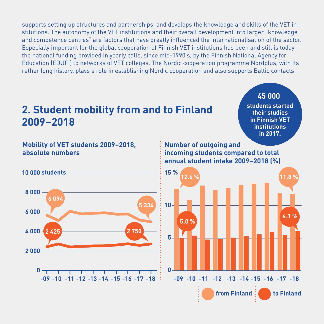supports setting up structures and partnerships, and develops the knowledge and skills of the VET institutions. The autonomy of the VET institutions and their overall development into larger "knowledge and competence centres" are factors that have greatly influenced the internationalisation of the sector. Especially important for the global cooperation of Finnish VET institutions has been and still is today the national funding provided in yearly calls, since mid-1990's, by the Finnish National Agency for Education (EDUFI) to networks of VET colleges. The Nordic cooperation programme Nordplus, with its rather long history, plays a role in establishing Nordic cooperation and also supports Baltic contacts.

#### **2. Student mobility from and to Finland 2009–2018**

**45 000 students started their studies in Finnish VET institutions in 2017.**

#### **Mobility of VET students 2009–2018, absolute numbers**

**Number of outgoing and incoming students compared to total annual student intake 2009–2018 (%)**



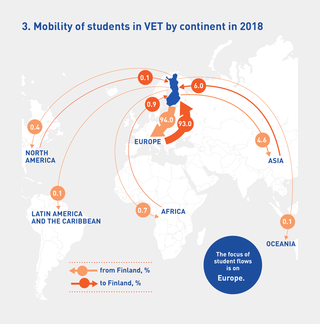### **3. Mobility of students in VET by continent in 2018**

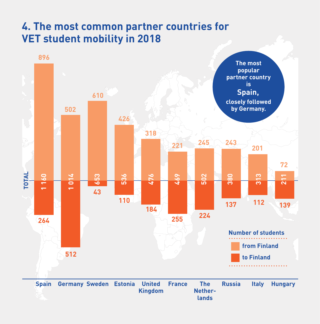### **4. The most common partner countries for VET student mobility in 2018**

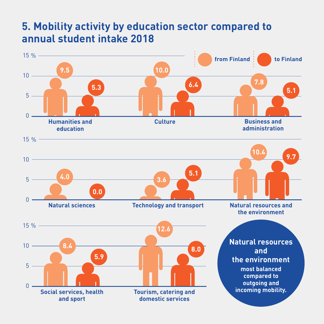#### **5. Mobility activity by education sector compared to annual student intake 2018**

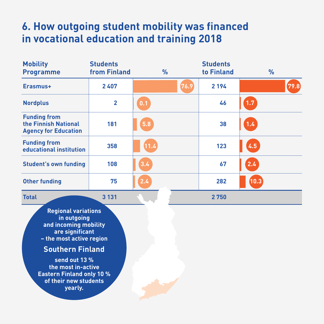## **6. How outgoing student mobility was financed in vocational education and training 2018**

| <b>Mobility</b><br><b>Programme</b>                                        | <b>Students</b><br>from Finland | $\%$   | <b>Students</b><br>to Finland | $\%$   |
|----------------------------------------------------------------------------|---------------------------------|--------|-------------------------------|--------|
| Erasmus+                                                                   | 2407                            | 76.9   | 2 1 9 4                       | 79.8   |
| <b>Nordplus</b>                                                            | $\overline{2}$                  | 0.1    | 46                            | 1.7    |
| <b>Funding from</b><br>the Finnish National<br><b>Agency for Education</b> | 181                             | 5.8    | 38                            | 1.4    |
| <b>Funding from</b><br>educational institution                             | 358                             | (11.4) | 123                           | 4.5    |
| <b>Student's own funding</b>                                               | 108                             | 3.4    | 67                            | 2.4    |
| <b>Other funding</b>                                                       | 75                              | 2.4    | 282                           | (10.3) |
| <b>Total</b>                                                               | 3 1 3 1                         |        | 2750                          |        |

**Regional variations in outgoing and incoming mobility are significant – the most active region**

#### **Southern Finland**

**send out 13 % the most in-active Eastern Finland only 10 % of their new students yearly.**